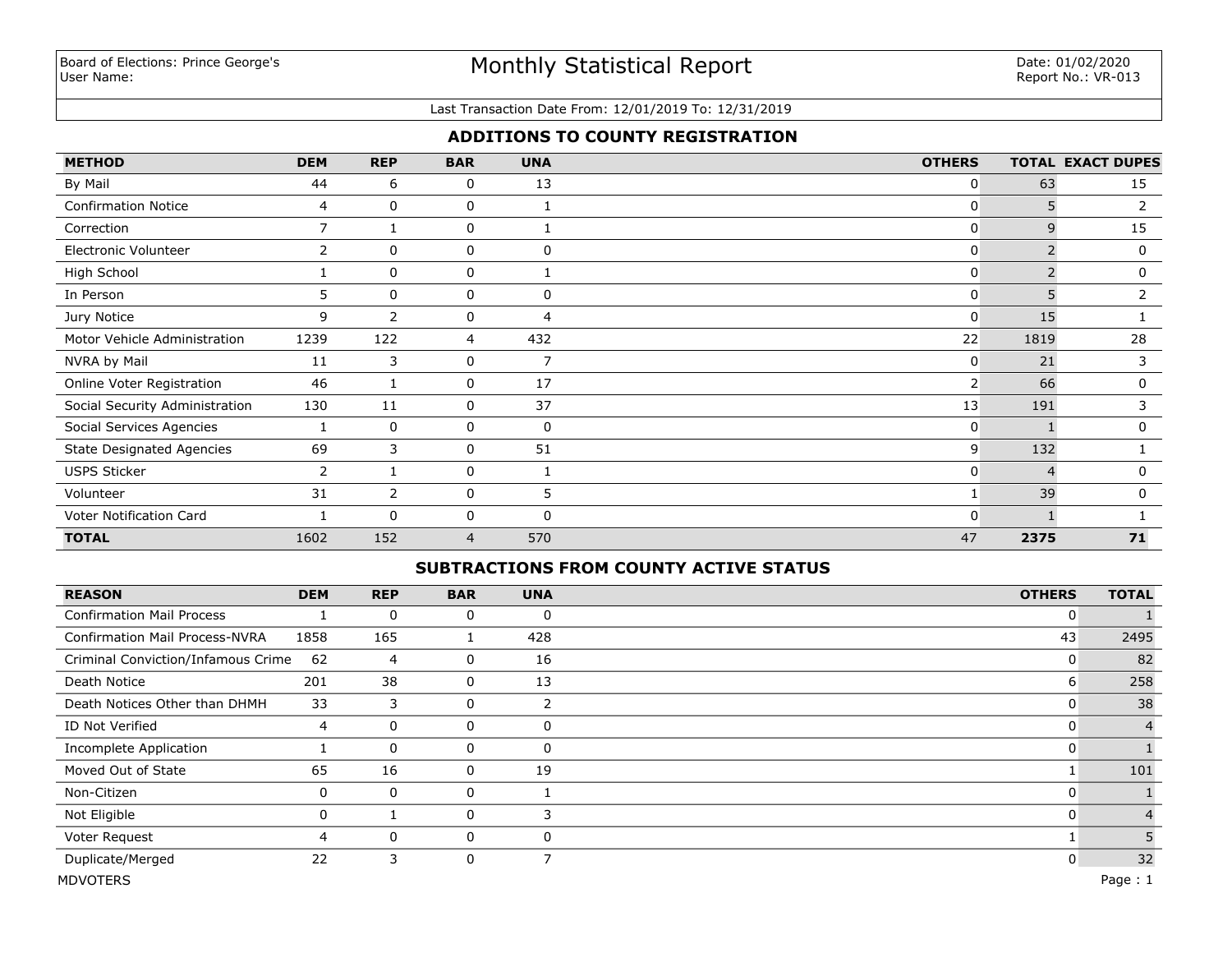# Monthly Statistical Report

#### Last Transaction Date From: 12/01/2019 To: 12/31/2019

### **ADDITIONS TO COUNTY REGISTRATION**

| <b>METHOD</b>                    | <b>DEM</b>     | <b>REP</b>     | <b>BAR</b> | <b>UNA</b>     | <b>OTHERS</b>  |      | <b>TOTAL EXACT DUPES</b> |
|----------------------------------|----------------|----------------|------------|----------------|----------------|------|--------------------------|
| By Mail                          | 44             | 6              | 0          | 13             | 0              | 63   | 15                       |
| <b>Confirmation Notice</b>       | 4              | 0              | 0          |                | 0              | 5    | 2                        |
| Correction                       | $\overline{7}$ |                | 0          |                | 0              | 9    | 15                       |
| Electronic Volunteer             | 2              | 0              | 0          | 0              | 0              |      | 0                        |
| High School                      |                | $\Omega$       | 0          |                | 0              |      | 0                        |
| In Person                        | 5              | $\mathbf{0}$   | 0          | 0              | $\mathbf{0}$   | 5    | $\overline{2}$           |
| Jury Notice                      | 9              | $\overline{2}$ | 0          | $\overline{4}$ | 0              | 15   |                          |
| Motor Vehicle Administration     | 1239           | 122            | 4          | 432            | 22             | 1819 | 28                       |
| NVRA by Mail                     | 11             | 3              | 0          | 7              | 0              | 21   | 3                        |
| Online Voter Registration        | 46             | 1              | 0          | 17             | $\overline{2}$ | 66   | 0                        |
| Social Security Administration   | 130            | 11             | 0          | 37             | 13             | 191  | 3                        |
| Social Services Agencies         |                | 0              | 0          | 0              | 0              |      | 0                        |
| <b>State Designated Agencies</b> | 69             | 3              | 0          | 51             | 9              | 132  |                          |
| <b>USPS Sticker</b>              | $\overline{2}$ |                | 0          |                | 0              |      | 0                        |
| Volunteer                        | 31             | $\overline{2}$ | 0          | 5              |                | 39   | 0                        |
| Voter Notification Card          |                | $\Omega$       | 0          | 0              | O              |      |                          |
| <b>TOTAL</b>                     | 1602           | 152            | 4          | 570            | 47             | 2375 | 71                       |

### **SUBTRACTIONS FROM COUNTY ACTIVE STATUS**

| <b>REASON</b>                         | <b>DEM</b>     | <b>REP</b>  | <b>BAR</b> | <b>UNA</b> | <b>OTHERS</b> | <b>TOTAL</b>   |
|---------------------------------------|----------------|-------------|------------|------------|---------------|----------------|
| <b>Confirmation Mail Process</b>      |                | $\mathbf 0$ | 0          | 0          | 0             |                |
| <b>Confirmation Mail Process-NVRA</b> | 1858           | 165         |            | 428        | 43            | 2495           |
| Criminal Conviction/Infamous Crime    | 62             | 4           | 0          | 16         | 0             | 82             |
| Death Notice                          | 201            | 38          | 0          | 13         | 6             | 258            |
| Death Notices Other than DHMH         | 33             | 3           | 0          | 2          | υ             | 38             |
| ID Not Verified                       | 4              | 0           | 0          | 0          |               | $\overline{4}$ |
| Incomplete Application                |                | $\mathbf 0$ | 0          | 0          | 0             |                |
| Moved Out of State                    | 65             | 16          | 0          | 19         |               | 101            |
| Non-Citizen                           | 0              | $\mathbf 0$ | 0          |            | 0             |                |
| Not Eligible                          | 0              |             | 0          | 3          | 0             |                |
| Voter Request                         | $\overline{4}$ | $\mathbf 0$ | 0          | 0          |               |                |
| Duplicate/Merged                      | 22             | 3           | 0          | 7          | 0             | 32             |
| <b>MDVOTERS</b>                       |                |             |            |            |               | Page: $1$      |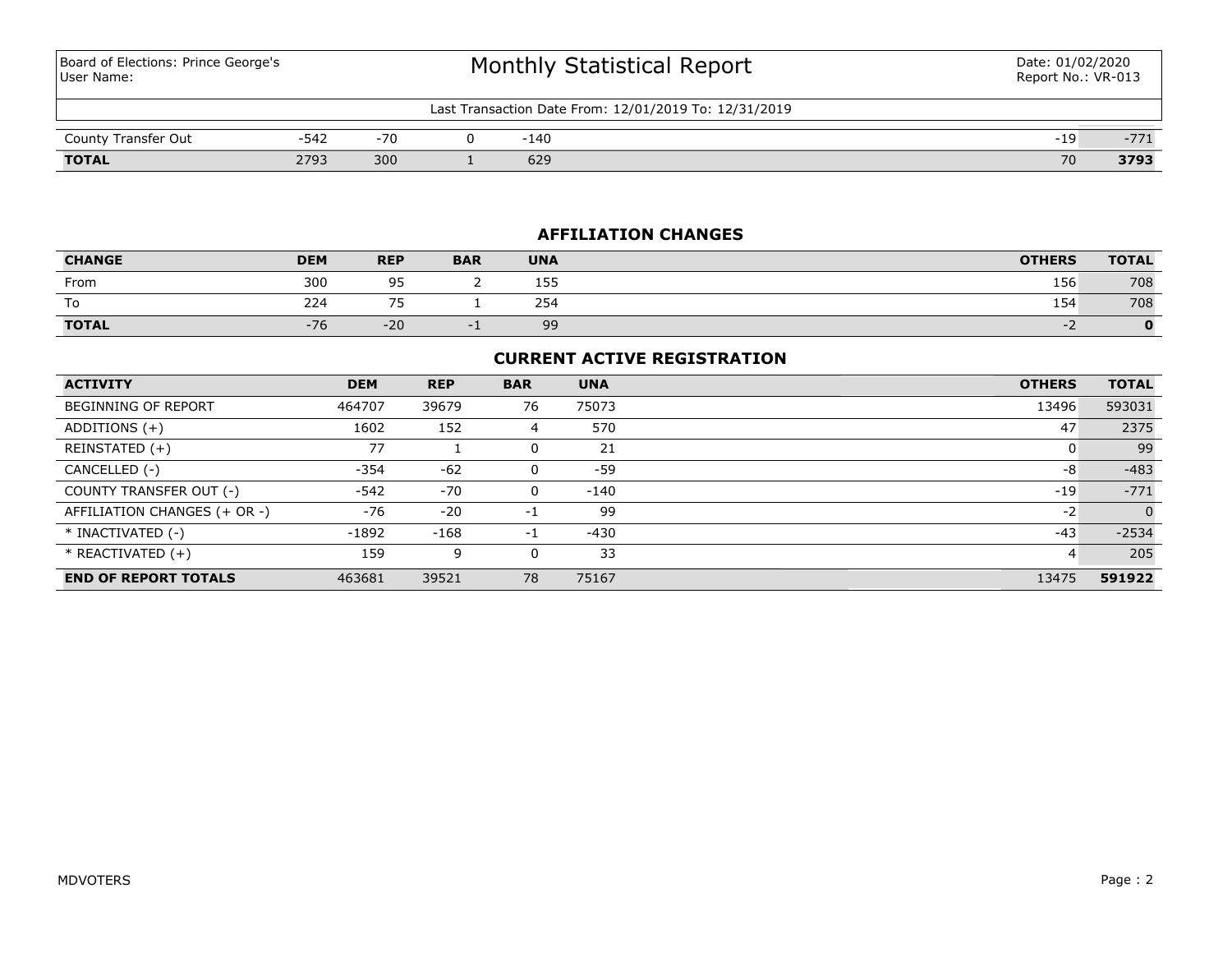Board of Elections: Prince George's User Name:

# Monthly Statistical Report

#### Last Transaction Date From: 12/01/2019 To: 12/31/2019

| __<br>Transfer Out<br>County | -                     | $-70$ | 140           |    | $-1$<br>. |
|------------------------------|-----------------------|-------|---------------|----|-----------|
| <b>TOTAL</b>                 | 2703<br>ر ، ے<br>____ | 300   | $\sim$<br>679 | 70 | 3793      |

### **AFFILIATION CHANGES**

| <b>CHANGE</b> | <b>DEM</b> | <b>REP</b>               | <b>BAR</b> | <b>UNA</b>  | <b>OTHERS</b> | <b>TOTAL</b> |
|---------------|------------|--------------------------|------------|-------------|---------------|--------------|
| From          | 300        | Q5<br>ر ر                |            | 155.<br>ᅩJJ | 156           | 708          |
| To            | 224        | $\overline{\phantom{a}}$ |            | 254         | 154           | 708          |
| <b>TOTAL</b>  | $-76$      | $-20$                    |            | 99          |               |              |

### **CURRENT ACTIVE REGISTRATION**

| <b>ACTIVITY</b>              | <b>DEM</b> | <b>REP</b> | <b>BAR</b> | <b>UNA</b> | <b>OTHERS</b> | <b>TOTAL</b> |
|------------------------------|------------|------------|------------|------------|---------------|--------------|
| BEGINNING OF REPORT          | 464707     | 39679      | 76         | 75073      | 13496         | 593031       |
| ADDITIONS $(+)$              | 1602       | 152        | 4          | 570        | 47            | 2375         |
| REINSTATED (+)               | 77         |            | 0          | 21         |               | 99           |
| CANCELLED (-)                | $-354$     | $-62$      |            | $-59$      | -8            | $-483$       |
| COUNTY TRANSFER OUT (-)      | $-542$     | $-70$      | 0          | -140       | $-19$         | $-771$       |
| AFFILIATION CHANGES (+ OR -) | -76        | $-20$      | $-1$       | 99         | $-2$          | $\Omega$     |
| * INACTIVATED (-)            | $-1892$    | $-168$     | $-1$       | $-430$     | $-43$         | $-2534$      |
| $*$ REACTIVATED $(+)$        | 159        | 9          |            | 33         | 4             | 205          |
| <b>END OF REPORT TOTALS</b>  | 463681     | 39521      | 78         | 75167      | 13475         | 591922       |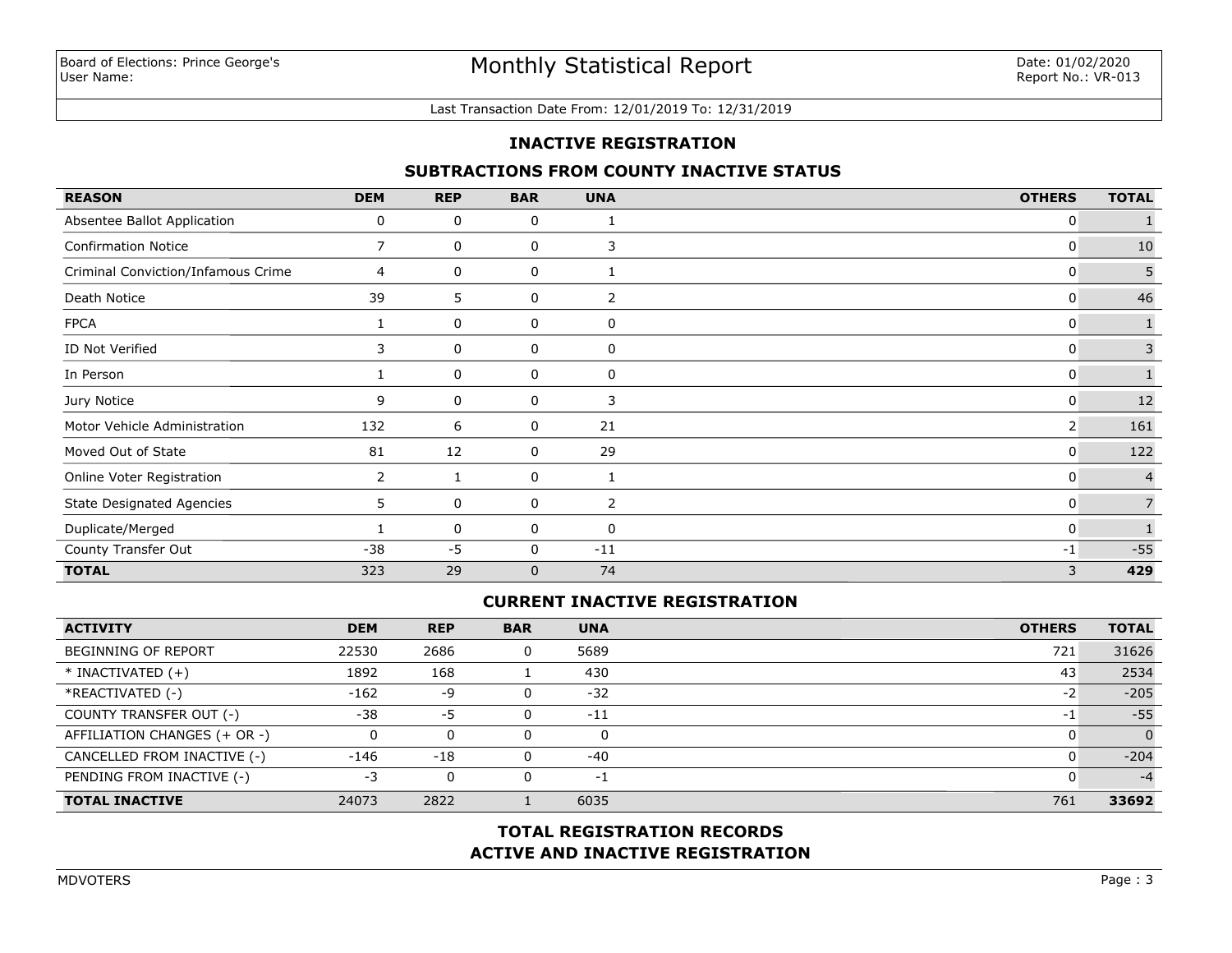#### Last Transaction Date From: 12/01/2019 To: 12/31/2019

#### **INACTIVE REGISTRATION**

#### **SUBTRACTIONS FROM COUNTY INACTIVE STATUS**

| <b>REASON</b>                      | <b>DEM</b>            | <b>REP</b> | <b>BAR</b>  | <b>UNA</b> | <b>OTHERS</b> | <b>TOTAL</b>   |
|------------------------------------|-----------------------|------------|-------------|------------|---------------|----------------|
| Absentee Ballot Application        | 0                     | 0          | 0           |            | 0             |                |
| <b>Confirmation Notice</b>         | 7                     | 0          | 0           | 3          | 0             | 10             |
| Criminal Conviction/Infamous Crime | 4                     | 0          | 0           |            | 0             | 5              |
| Death Notice                       | 39                    | 5          | 0           | 2          | 0             | 46             |
| <b>FPCA</b>                        |                       | 0          | 0           | 0          | 0             |                |
| ID Not Verified                    | 3                     | 0          | 0           | 0          | 0             | 3              |
| In Person                          |                       | 0          | 0           | 0          | 0             |                |
| Jury Notice                        | 9                     | 0          | 0           | 3          | 0             | 12             |
| Motor Vehicle Administration       | 132                   | 6          | 0           | 21         | 2             | 161            |
| Moved Out of State                 | 81                    | 12         | 0           | 29         | 0             | 122            |
| Online Voter Registration          | $\mathbf{2}^{\prime}$ |            | 0           |            | 0             | $\overline{4}$ |
| <b>State Designated Agencies</b>   | 5.                    | 0          | 0           | 2          | 0             |                |
| Duplicate/Merged                   |                       | 0          | 0           | 0          | 0             |                |
| County Transfer Out                | $-38$                 | $-5$       | 0           | $-11$      | $-1$          | $-55$          |
| <b>TOTAL</b>                       | 323                   | 29         | $\mathbf 0$ | 74         | 3             | 429            |

### **CURRENT INACTIVE REGISTRATION**

| <b>ACTIVITY</b>              | <b>DEM</b> | <b>REP</b> | <b>BAR</b> | <b>UNA</b> | <b>OTHERS</b>            | <b>TOTAL</b> |
|------------------------------|------------|------------|------------|------------|--------------------------|--------------|
| <b>BEGINNING OF REPORT</b>   | 22530      | 2686       |            | 5689       | 721                      | 31626        |
| $*$ INACTIVATED $(+)$        | 1892       | 168        |            | 430        | 43                       | 2534         |
| *REACTIVATED (-)             | $-162$     | -9         |            | $-32$      | -2                       | $-205$       |
| COUNTY TRANSFER OUT (-)      | $-38$      | -5         |            | $-11$      | $\overline{\phantom{a}}$ | $-55$        |
| AFFILIATION CHANGES (+ OR -) |            | 0          |            | 0          |                          |              |
| CANCELLED FROM INACTIVE (-)  | -146       | -18        |            | $-40$      |                          | $-204$       |
| PENDING FROM INACTIVE (-)    | -3         | 0          |            | $-1$       |                          | $-4$         |
| <b>TOTAL INACTIVE</b>        | 24073      | 2822       |            | 6035       | 761                      | 33692        |

## **ACTIVE AND INACTIVE REGISTRATION TOTAL REGISTRATION RECORDS**